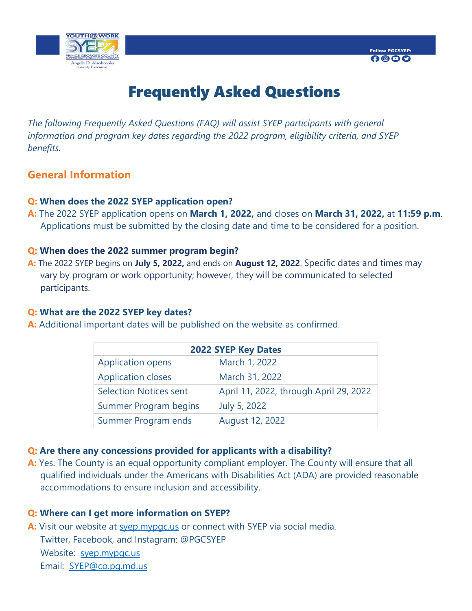

# Frequently Asked Questions

*The following Frequently Asked Questions (FAQ) will assist SYEP participants with general information and program key dates regarding the 2022 program, eligibility criteria, and SYEP benefits.* 

# **General Information**

#### **Q: When does the 2022 SYEP application open?**

**A:** The 2022 SYEP application opens on **March 1, 2022,** and closes on **March 31, 2022,** at **11:59 p.m**. Applications must be submitted by the closing date and time to be considered for a position.

#### **Q: When does the 2022 summer program begin?**

**A:** The 2022 SYEP begins on **July 5, 2022,** and ends on **August 12, 2022**. Specific dates and times may vary by program or work opportunity; however, they will be communicated to selected participants.

#### **Q: What are the 2022 SYEP key dates?**

**A:** Additional important dates will be published on the website as confirmed.

| <b>2022 SYEP Key Dates</b>    |                                        |
|-------------------------------|----------------------------------------|
| <b>Application opens</b>      | March 1, 2022                          |
| <b>Application closes</b>     | March 31, 2022                         |
| <b>Selection Notices sent</b> | April 11, 2022, through April 29, 2022 |
| <b>Summer Program begins</b>  | July 5, 2022                           |
| Summer Program ends           | August 12, 2022                        |

# **Q: Are there any concessions provided for applicants with a disability?**

**A:** Yes. The County is an equal opportunity compliant employer. The County will ensure that all qualified individuals under the Americans with Disabilities Act (ADA) are provided reasonable accommodations to ensure inclusion and accessibility.

#### **Q: Where can I get more information on SYEP?**

**A:** Visit our website at [syep.mypgc.us](https://www.princegeorgescountymd.gov/598/Summer-Youth-Enrichment-Program) or connect with SYEP via social media. Twitter, Facebook, and Instagram: @PGCSYEP Website: [syep.mypgc.us](https://www.princegeorgescountymd.gov/598/Summer-Youth-Enrichment-Program) Email: [SYEP@co.pg.md.us](mailto:SYEP@co.pg.md.us)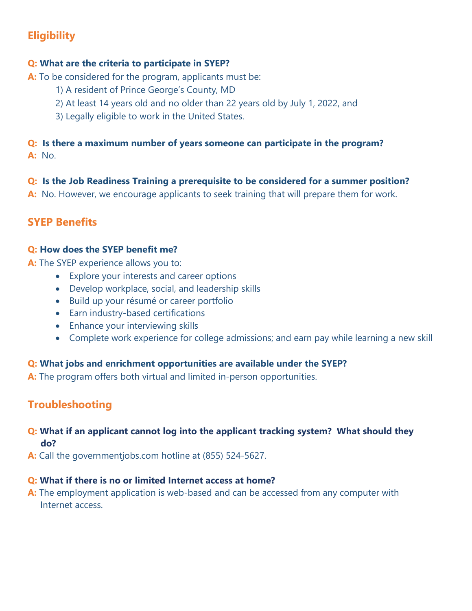# **Eligibility**

# **Q: What are the criteria to participate in SYEP?**

**A:** To be considered for the program, applicants must be:

- 1) A resident of Prince George's County, MD
- 2) At least 14 years old and no older than 22 years old by July 1, 2022, and
- 3) Legally eligible to work in the United States.

# **Q: Is there a maximum number of years someone can participate in the program? A:** No.

# **Q: Is the Job Readiness Training a prerequisite to be considered for a summer position?**

**A:** No. However, we encourage applicants to seek training that will prepare them for work.

# **SYEP Benefits**

# **Q: How does the SYEP benefit me?**

**A:** The SYEP experience allows you to:

- Explore your interests and career options
- Develop workplace, social, and leadership skills
- Build up your résumé or career portfolio
- Earn industry-based certifications
- Enhance your interviewing skills
- Complete work experience for college admissions; and earn pay while learning a new skill

# **Q: What jobs and enrichment opportunities are available under the SYEP?**

**A:** The program offers both virtual and limited in-person opportunities.

# **Troubleshooting**

# **Q: What if an applicant cannot log into the applicant tracking system? What should they do?**

**A:** Call the governmentjobs.com hotline at (855) 524-5627.

# **Q: What if there is no or limited Internet access at home?**

**A:** The employment application is web-based and can be accessed from any computer with Internet access.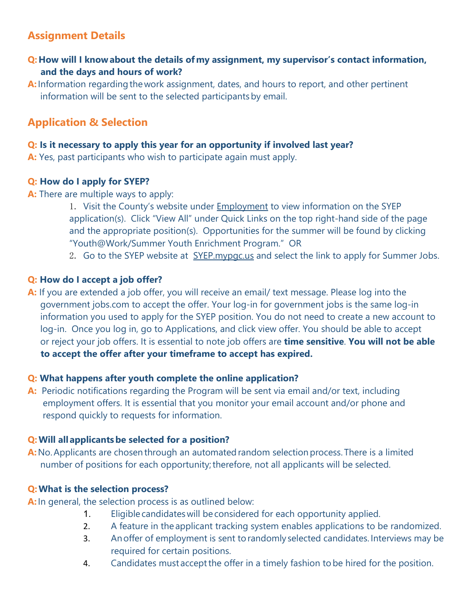# **Assignment Details**

- **Q:How will I know about the details of my assignment, my supervisor's contact information, and the days and hours of work?**
- **A:** Information regarding the work assignment, dates, and hours to report, and other pertinent information will be sent to the selected participants by email.

# **Application & Selection**

## **Q: Is it necessary to apply this year for an opportunity if involved last year?**

**A:** Yes, past participants who wish to participate again must apply.

# **Q: How do I apply for SYEP?**

**A:** There are multiple ways to apply:

- 1. Visit the County's website under **[Employment](https://www.princegeorgescountymd.gov/1818/Employment)** to view information on the SYEP application(s). Click "View All" under Quick Links on the top right-hand side of the page and the appropriate position(s). Opportunities for the summer will be found by clicking "Youth@Work/Summer Youth Enrichment Program." OR
- 2. Go to the SYEP website at [SYEP.mypgc.us](mailto:Youthatwork@mypgc.us) and select the link to apply for Summer Jobs.

# **Q: How do I accept a job offer?**

A: If you are extended a job offer, you will receive an email/ text message. Please log into the government jobs.com to accept the offer. Your log-in for government jobs is the same log-in information you used to apply for the SYEP position. You do not need to create a new account to log-in. Once you log in, go to Applications, and click view offer. You should be able to accept or reject your job offers. It is essential to note job offers are **time sensitive**. **You will not be able to accept the offer after your timeframe to accept has expired.**

# **Q: What happens after youth complete the online application?**

**A:** Periodic notifications regarding the Program will be sent via email and/or text, including employment offers. It is essential that you monitor your email account and/or phone and respond quickly to requests for information.

# **Q:Will all applicants be selected for a position?**

**A:** No. Applicants are chosen through an automated random selection process. There is a limited number of positions for each opportunity; therefore, not all applicants will be selected.

# **Q:What is the selection process?**

**A:** In general, the selection process is as outlined below:

- 1. Eligible candidates will be considered for each opportunity applied.
- 2. A feature in the applicant tracking system enables applications to be randomized.
- 3. An offer of employment is sent to randomly selected candidates. Interviews may be required for certain positions.
- 4. Candidates must accept the offer in a timely fashion to be hired for the position.